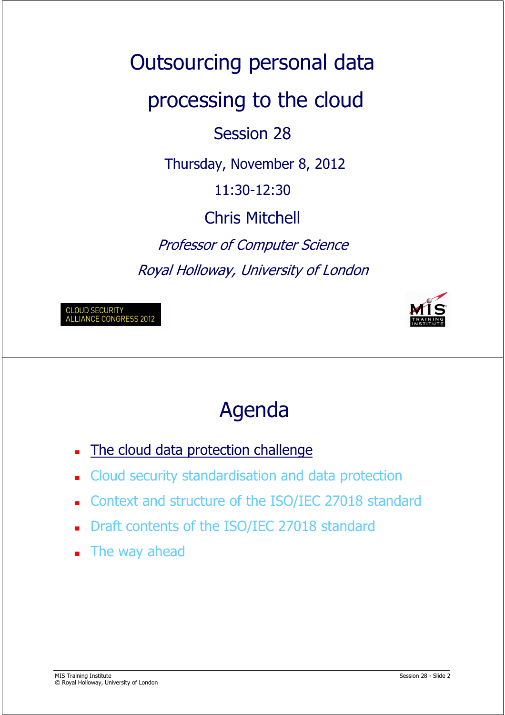Outsourcing personal data processing to the cloud Session 28 Thursday, November 8, 2012 11:30-12:30 Chris Mitchell Professor of Computer Science Royal Holloway, University of London

CLOUD SECURITY<br>ALLIANCE CONGRESS 2012



## Agenda

- The cloud data protection challenge
- Cloud security standardisation and data protection
- Context and structure of the ISO/IEC 27018 standard
- Draft contents of the ISO/IEC 27018 standard
- **The way ahead**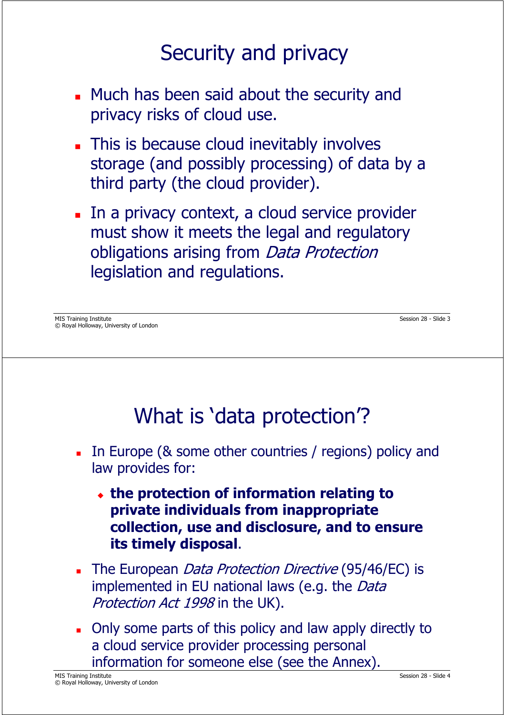### Security and privacy

- **Much has been said about the security and** privacy risks of cloud use.
- **This is because cloud inevitably involves** storage (and possibly processing) of data by a third party (the cloud provider).
- In a privacy context, a cloud service provider must show it meets the legal and regulatory obligations arising from Data Protection legislation and regulations.

### What is 'data protection'?

- In Europe (& some other countries / regions) policy and law provides for:
	- **the protection of information relating to private individuals from inappropriate collection, use and disclosure, and to ensure its timely disposal**.
- The European Data Protection Directive (95/46/EC) is implemented in EU national laws (e.g. the Data Protection Act 1998 in the UK).
- Only some parts of this policy and law apply directly to a cloud service provider processing personal information for someone else (see the Annex).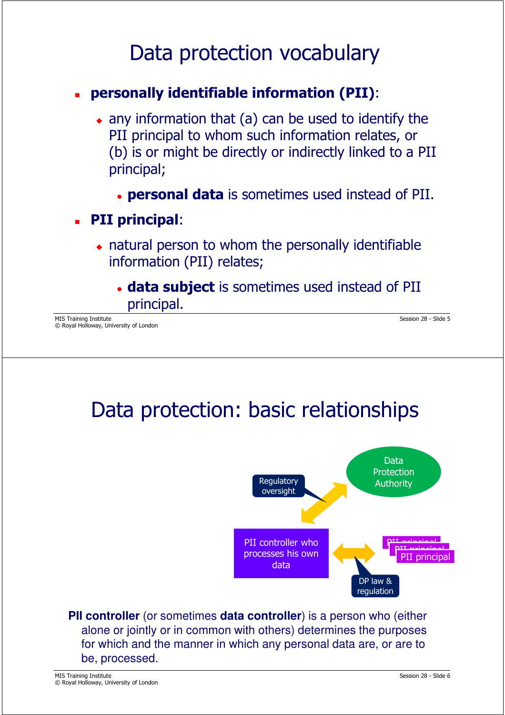#### Data protection vocabulary

#### **personally identifiable information (PII)**:

- $\bullet$  any information that (a) can be used to identify the PII principal to whom such information relates, or (b) is or might be directly or indirectly linked to a PII principal;
	- **personal data** is sometimes used instead of PII.

#### **PII principal**:

- $\bullet$  natural person to whom the personally identifiable information (PII) relates;
	- **data subject** is sometimes used instead of PII principal.

MIS Training Institute Session 28 - Slide 5 © Royal Holloway, University of London

## Data protection: basic relationships



**PII controller** (or sometimes **data controller**) is a person who (either alone or jointly or in common with others) determines the purposes for which and the manner in which any personal data are, or are to be, processed.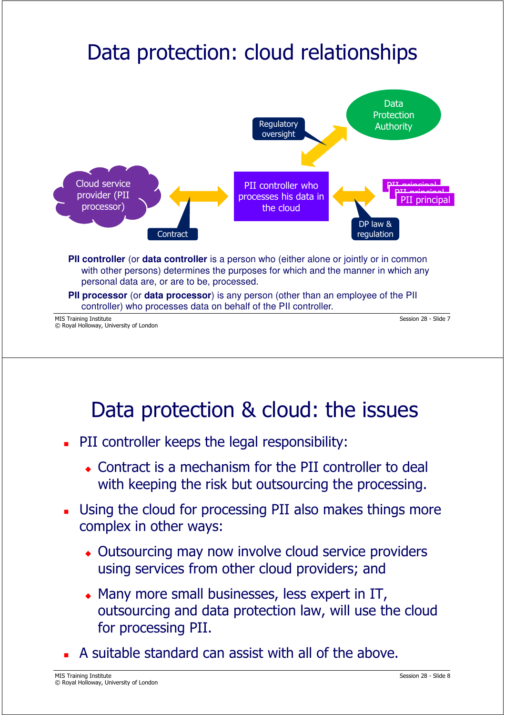## Data protection: cloud relationships



### Data protection & cloud: the issues

- **PII controller keeps the legal responsibility:** 
	- Contract is a mechanism for the PII controller to deal with keeping the risk but outsourcing the processing.
- **Using the cloud for processing PII also makes things more** complex in other ways:
	- Outsourcing may now involve cloud service providers using services from other cloud providers; and
	- Many more small businesses, less expert in IT, outsourcing and data protection law, will use the cloud for processing PII.
- A suitable standard can assist with all of the above.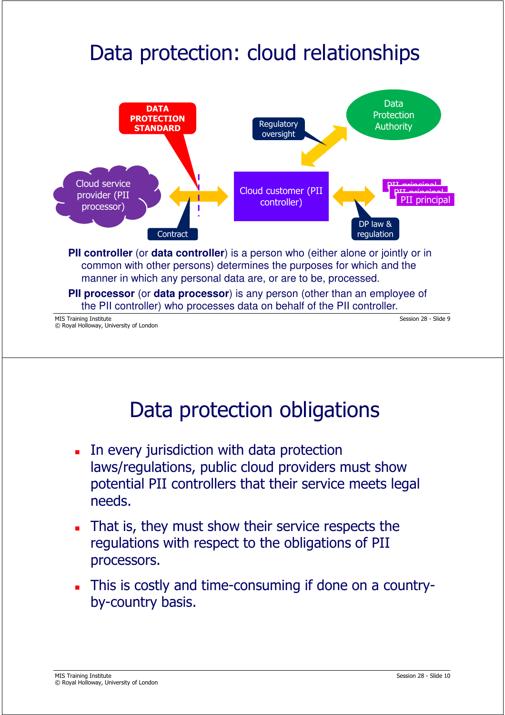## Data protection: cloud relationships



### Data protection obligations

- In every jurisdiction with data protection laws/regulations, public cloud providers must show potential PII controllers that their service meets legal needs.
- That is, they must show their service respects the regulations with respect to the obligations of PII processors.
- This is costly and time-consuming if done on a countryby-country basis.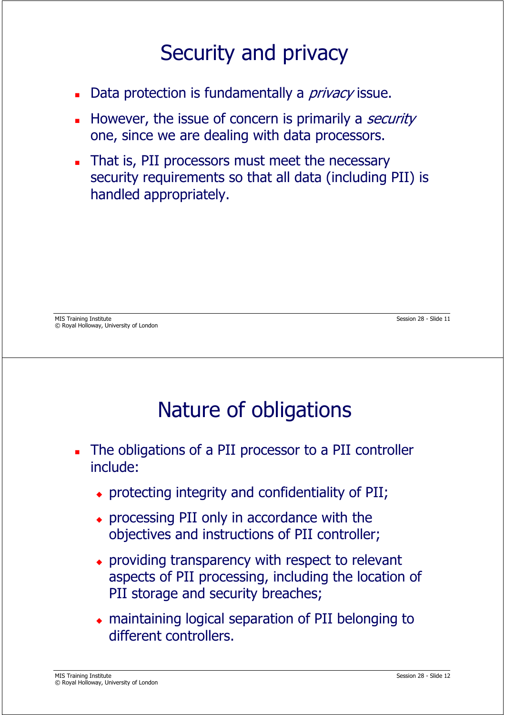### Security and privacy

- Data protection is fundamentally a *privacy* issue.
- However, the issue of concern is primarily a *security* one, since we are dealing with data processors.
- That is, PII processors must meet the necessary security requirements so that all data (including PII) is handled appropriately.

## Nature of obligations

- The obligations of a PII processor to a PII controller include:
	- protecting integrity and confidentiality of PII;
	- processing PII only in accordance with the objectives and instructions of PII controller;
	- providing transparency with respect to relevant aspects of PII processing, including the location of PII storage and security breaches;
	- maintaining logical separation of PII belonging to different controllers.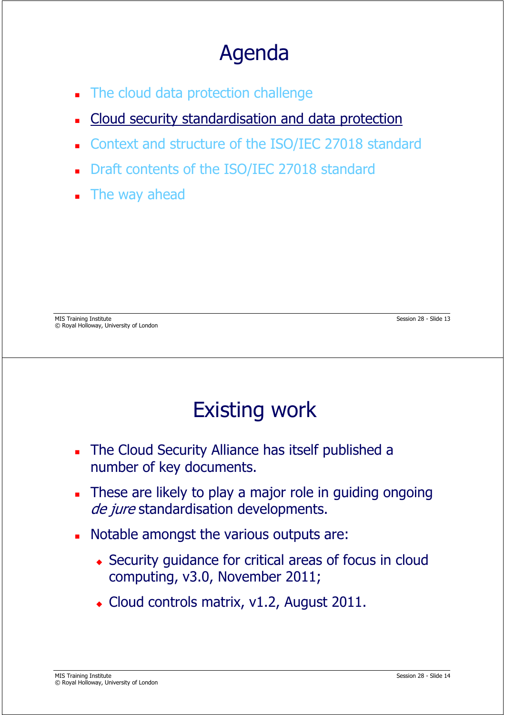## Agenda

- The cloud data protection challenge
- Cloud security standardisation and data protection
- Context and structure of the ISO/IEC 27018 standard
- Draft contents of the ISO/IEC 27018 standard
- **The way ahead**

MIS Training Institute Session 28 - Slide 13 © Royal Holloway, University of London

## Existing work

- The Cloud Security Alliance has itself published a number of key documents.
- These are likely to play a major role in guiding ongoing de jure standardisation developments.
- Notable amongst the various outputs are:
	- Security guidance for critical areas of focus in cloud computing, v3.0, November 2011;
	- Cloud controls matrix, v1.2, August 2011.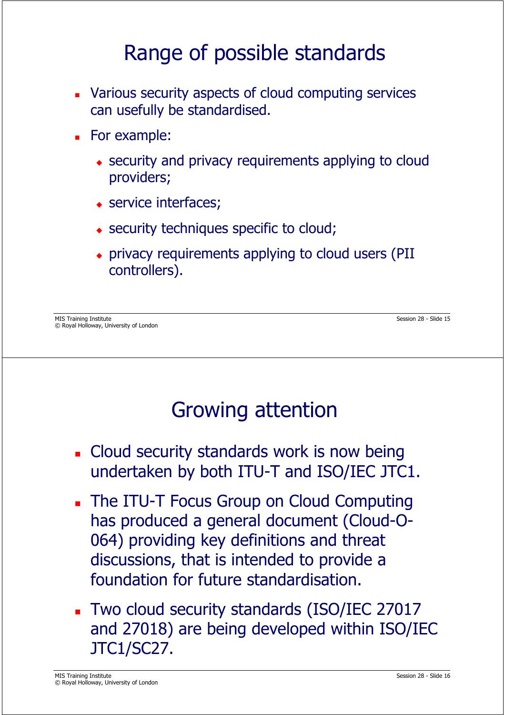### Range of possible standards

- Various security aspects of cloud computing services can usefully be standardised.
- **For example:** 
	- security and privacy requirements applying to cloud providers;
	- service interfaces;
	- security techniques specific to cloud;
	- privacy requirements applying to cloud users (PII controllers).

MIS Training Institute Session 28 - Slide 15 © Royal Holloway, University of London

## Growing attention

- **Cloud security standards work is now being** undertaken by both ITU-T and ISO/IEC JTC1.
- **The ITU-T Focus Group on Cloud Computing** has produced a general document (Cloud-O-064) providing key definitions and threat discussions, that is intended to provide a foundation for future standardisation.
- Two cloud security standards (ISO/IEC 27017 and 27018) are being developed within ISO/IEC JTC1/SC27.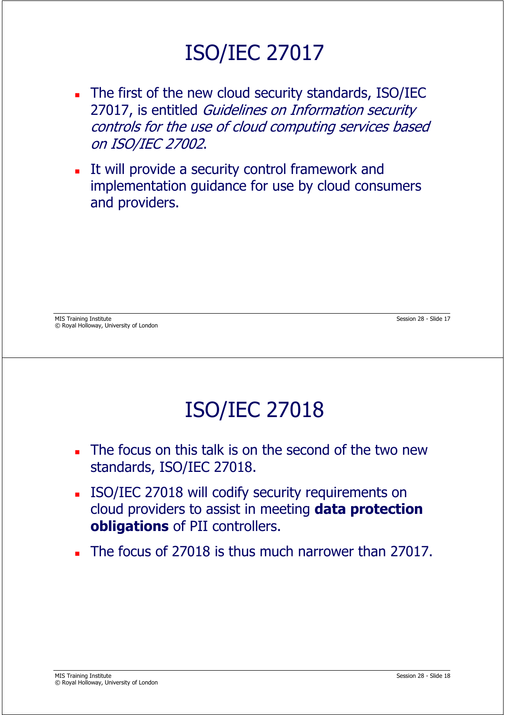## ISO/IEC 27017

- The first of the new cloud security standards, ISO/IEC 27017, is entitled Guidelines on Information security controls for the use of cloud computing services based on ISO/IEC 27002.
- It will provide a security control framework and implementation guidance for use by cloud consumers and providers.

MIS Training Institute Session 28 - Slide 17 © Royal Holloway, University of London

## ISO/IEC 27018

- The focus on this talk is on the second of the two new standards, ISO/IEC 27018.
- ISO/IEC 27018 will codify security requirements on cloud providers to assist in meeting **data protection obligations** of PII controllers.
- The focus of 27018 is thus much narrower than 27017.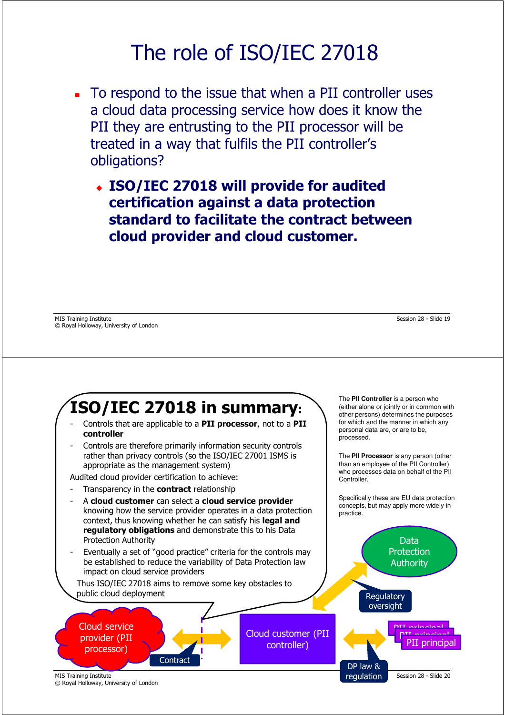### The role of ISO/IEC 27018

- To respond to the issue that when a PII controller uses a cloud data processing service how does it know the PII they are entrusting to the PII processor will be treated in a way that fulfils the PII controller's obligations?
	- **ISO/IEC 27018 will provide for audited certification against a data protection standard to facilitate the contract between cloud provider and cloud customer.**

MIS Training Institute Session 28 - Slide 19 © Royal Holloway, University of London



© Royal Holloway, University of London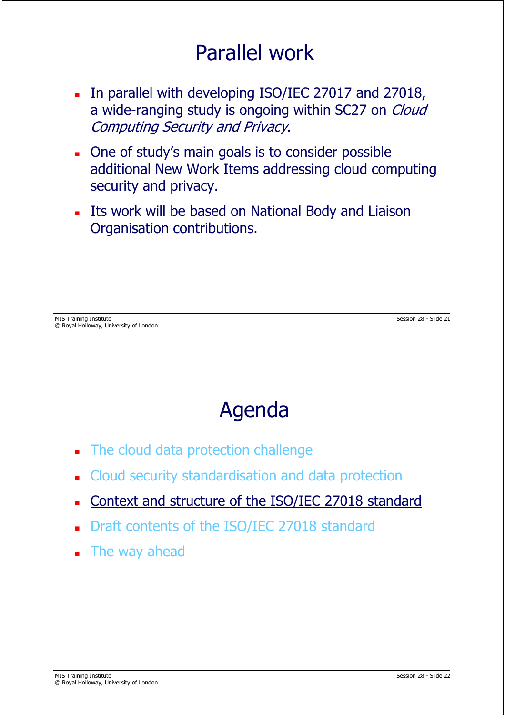### Parallel work

- In parallel with developing ISO/IEC 27017 and 27018, a wide-ranging study is ongoing within SC27 on *Cloud* Computing Security and Privacy.
- One of study's main goals is to consider possible additional New Work Items addressing cloud computing security and privacy.
- **Its work will be based on National Body and Liaison** Organisation contributions.

## Agenda

- The cloud data protection challenge
- Cloud security standardisation and data protection
- Context and structure of the ISO/IEC 27018 standard
- Draft contents of the ISO/IEC 27018 standard
- **The way ahead**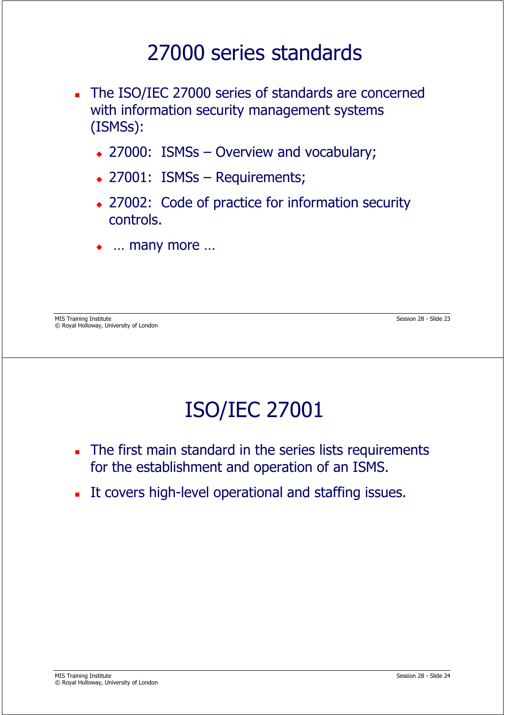#### 27000 series standards

- The ISO/IEC 27000 series of standards are concerned with information security management systems (ISMSs):
	- ◆ 27000: ISMSs Overview and vocabulary;
	- 27001: ISMSs Requirements;
	- 27002: Code of practice for information security controls.
	- $\ddot{\bullet}$ … many more …

MIS Training Institute Session 28 - Slide 23 © Royal Holloway, University of London

## ISO/IEC 27001

- The first main standard in the series lists requirements for the establishment and operation of an ISMS.
- It covers high-level operational and staffing issues.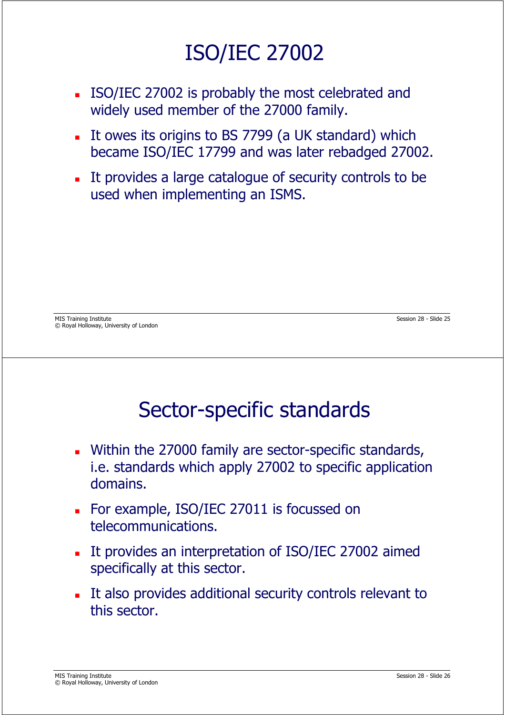## ISO/IEC 27002

- ISO/IEC 27002 is probably the most celebrated and widely used member of the 27000 family.
- It owes its origins to BS 7799 (a UK standard) which became ISO/IEC 17799 and was later rebadged 27002.
- It provides a large catalogue of security controls to be used when implementing an ISMS.

MIS Training Institute Session 28 - Slide 25 © Royal Holloway, University of London

### Sector-specific standards

- Within the 27000 family are sector-specific standards, i.e. standards which apply 27002 to specific application domains.
- For example, ISO/IEC 27011 is focussed on telecommunications.
- It provides an interpretation of ISO/IEC 27002 aimed specifically at this sector.
- It also provides additional security controls relevant to this sector.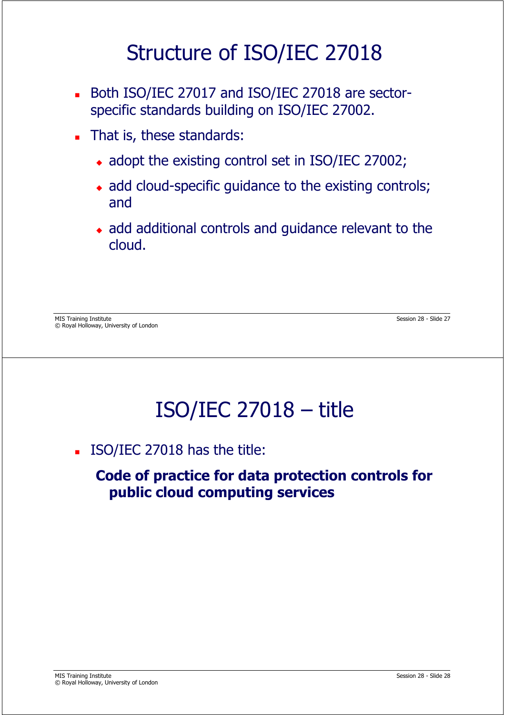### Structure of ISO/IEC 27018

- Both ISO/IEC 27017 and ISO/IEC 27018 are sectorspecific standards building on ISO/IEC 27002.
- That is, these standards:
	- adopt the existing control set in ISO/IEC 27002;
	- add cloud-specific guidance to the existing controls; and
	- add additional controls and guidance relevant to the cloud.

MIS Training Institute Session 28 - Slide 27 © Royal Holloway, University of London

### ISO/IEC 27018 – title

ISO/IEC 27018 has the title:

**Code of practice for data protection controls for public cloud computing services**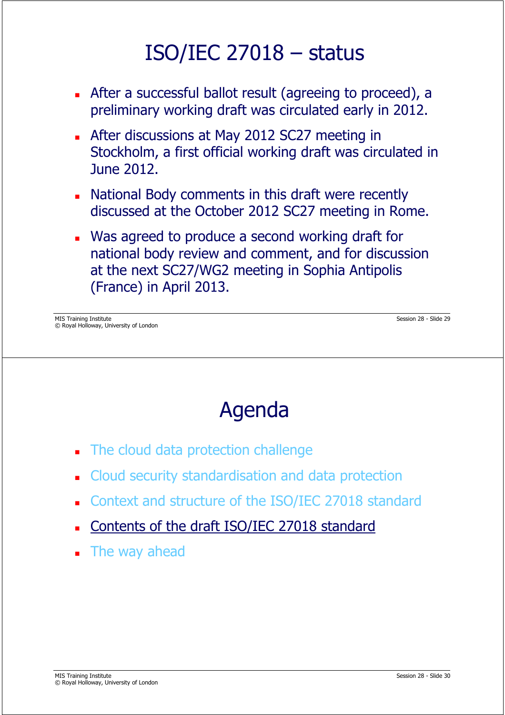### ISO/IEC 27018 – status

- After a successful ballot result (agreeing to proceed), a preliminary working draft was circulated early in 2012.
- **After discussions at May 2012 SC27 meeting in** Stockholm, a first official working draft was circulated in June 2012.
- National Body comments in this draft were recently discussed at the October 2012 SC27 meeting in Rome.
- Was agreed to produce a second working draft for national body review and comment, and for discussion at the next SC27/WG2 meeting in Sophia Antipolis (France) in April 2013.

MIS Training Institute Session 28 - Slide 29 © Royal Holloway, University of London

## Agenda

- The cloud data protection challenge
- Cloud security standardisation and data protection
- Context and structure of the ISO/IEC 27018 standard
- Contents of the draft ISO/IEC 27018 standard
- **The way ahead**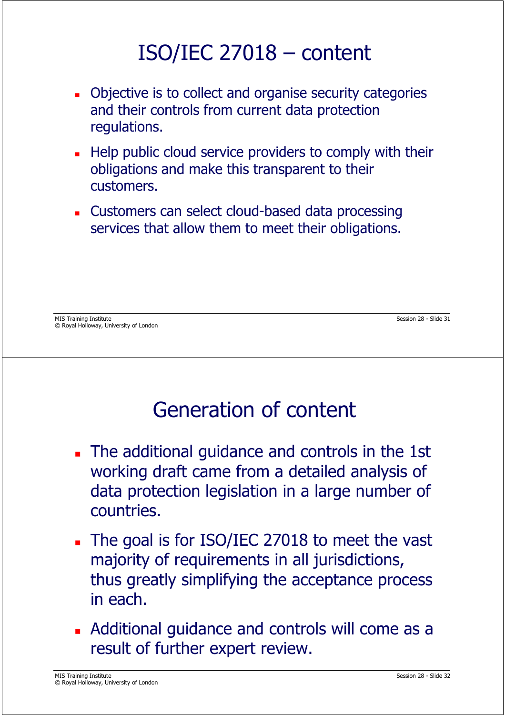## ISO/IEC 27018 – content

- **Diective is to collect and organise security categories** and their controls from current data protection regulations.
- Help public cloud service providers to comply with their obligations and make this transparent to their customers.
- Customers can select cloud-based data processing services that allow them to meet their obligations.

### Generation of content

- The additional guidance and controls in the 1st working draft came from a detailed analysis of data protection legislation in a large number of countries.
- The goal is for ISO/IEC 27018 to meet the vast  $\blacksquare$ majority of requirements in all jurisdictions, thus greatly simplifying the acceptance process in each.
- Additional guidance and controls will come as a result of further expert review.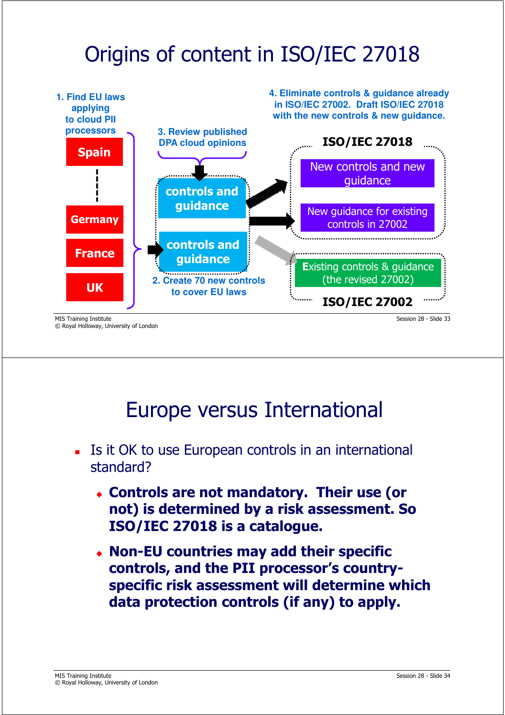## Origins of content in ISO/IEC 27018



© Royal Holloway, University of London

Europe versus International

- Is it OK to use European controls in an international standard?
	- **Controls are not mandatory. Their use (or not) is determined by a risk assessment. So ISO/IEC 27018 is a catalogue.**
	- **Non-EU countries may add their specific controls, and the PII processor's countryspecific risk assessment will determine which data protection controls (if any) to apply.**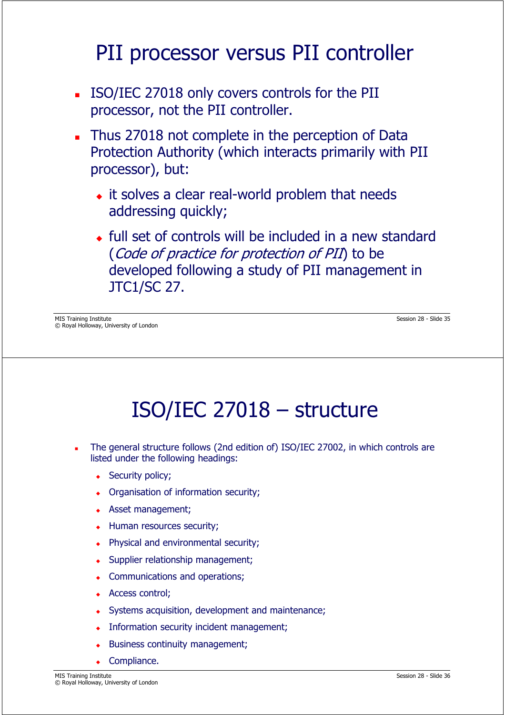### PII processor versus PII controller

- ISO/IEC 27018 only covers controls for the PII processor, not the PII controller.
- Thus 27018 not complete in the perception of Data Protection Authority (which interacts primarily with PII processor), but:
	- $\bullet$  it solves a clear real-world problem that needs addressing quickly;
	- full set of controls will be included in a new standard (Code of practice for protection of PII) to be developed following a study of PII management in JTC1/SC 27.

MIS Training Institute Session 28 - Slide 35 © Royal Holloway, University of London

## ISO/IEC 27018 – structure

- The general structure follows (2nd edition of) ISO/IEC 27002, in which controls are listed under the following headings:
	- Security policy;
	- Organisation of information security;
	- Asset management;
	- Human resources security;
	- Physical and environmental security;
	- Supplier relationship management;
	- Communications and operations;
	- Access control;
	- $\bullet$ Systems acquisition, development and maintenance;
	- Information security incident management;
	- $\bullet$ Business continuity management;
	- $\bullet$ Compliance.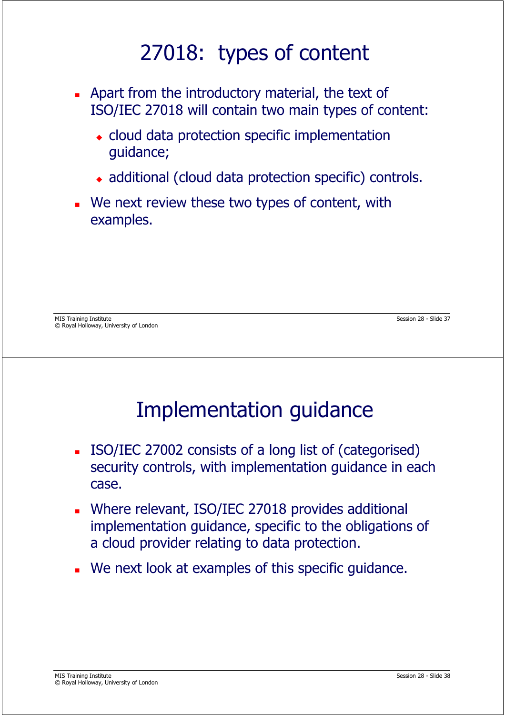### 27018: types of content

- Apart from the introductory material, the text of ISO/IEC 27018 will contain two main types of content:
	- cloud data protection specific implementation guidance;
	- additional (cloud data protection specific) controls.
- We next review these two types of content, with examples.

MIS Training Institute Session 28 - Slide 37 © Royal Holloway, University of London

### Implementation guidance

- ISO/IEC 27002 consists of a long list of (categorised) security controls, with implementation guidance in each case.
- Where relevant, ISO/IEC 27018 provides additional implementation guidance, specific to the obligations of a cloud provider relating to data protection.
- We next look at examples of this specific guidance.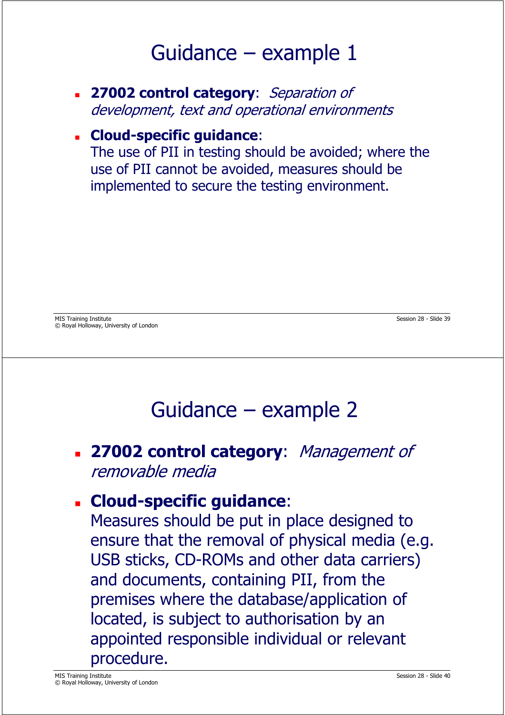### Guidance – example 1

 **27002 control category**: Separation of development, text and operational environments

#### **Cloud-specific guidance**:

The use of PII in testing should be avoided; where the use of PII cannot be avoided, measures should be implemented to secure the testing environment.

### Guidance – example 2

#### **27002 control category**: Management of removable media

#### **Cloud-specific guidance**:

Measures should be put in place designed to ensure that the removal of physical media (e.g. USB sticks, CD-ROMs and other data carriers) and documents, containing PII, from the premises where the database/application of located, is subject to authorisation by an appointed responsible individual or relevant procedure.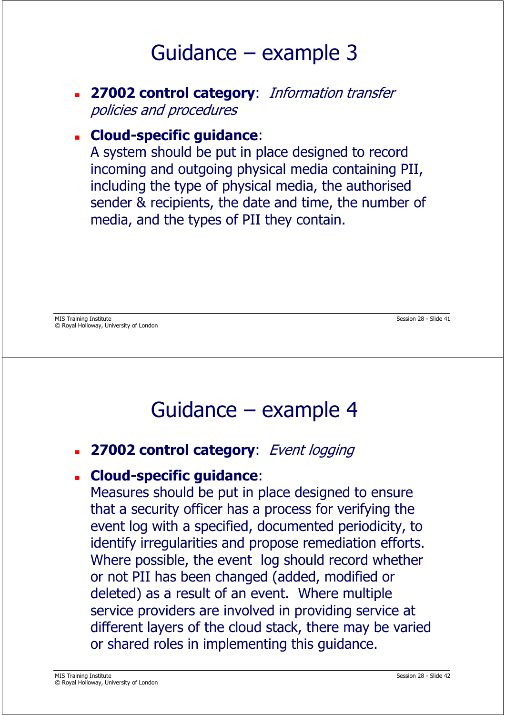### Guidance – example 3

 **27002 control category**: Information transfer policies and procedures

#### **Cloud-specific guidance**:

A system should be put in place designed to record incoming and outgoing physical media containing PII, including the type of physical media, the authorised sender & recipients, the date and time, the number of media, and the types of PII they contain.

#### Guidance – example 4

**27002 control category**: Event logging

#### **Cloud-specific guidance**:

Measures should be put in place designed to ensure that a security officer has a process for verifying the event log with a specified, documented periodicity, to identify irregularities and propose remediation efforts. Where possible, the event log should record whether or not PII has been changed (added, modified or deleted) as a result of an event. Where multiple service providers are involved in providing service at different layers of the cloud stack, there may be varied or shared roles in implementing this guidance.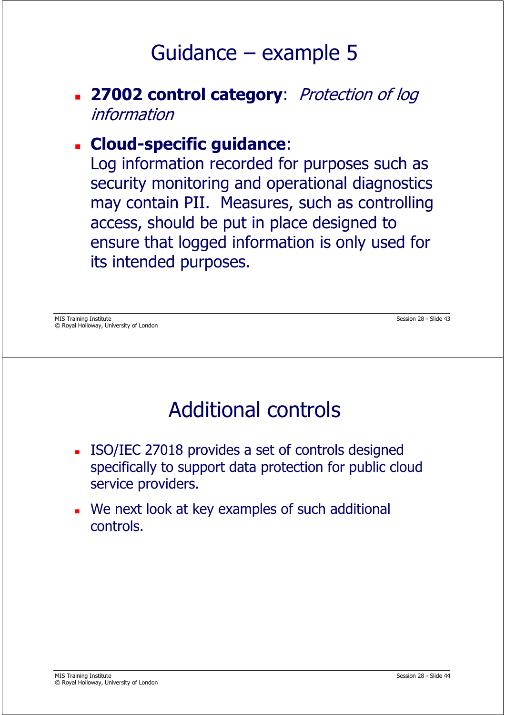### Guidance – example 5

#### **27002 control category**: Protection of log information

#### **Cloud-specific guidance**:

Log information recorded for purposes such as security monitoring and operational diagnostics may contain PII. Measures, such as controlling access, should be put in place designed to ensure that logged information is only used for its intended purposes.

MIS Training Institute Session 28 - Slide 43 © Royal Holloway, University of London

### Additional controls

- ISO/IEC 27018 provides a set of controls designed specifically to support data protection for public cloud service providers.
- We next look at key examples of such additional controls.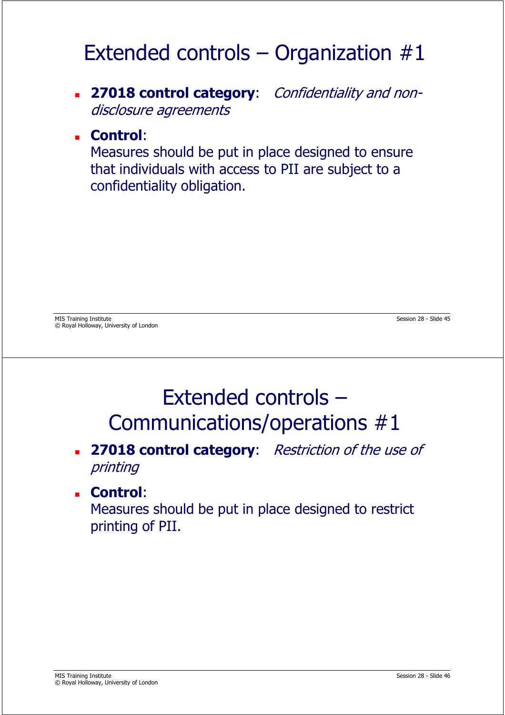## Extended controls – Organization  $#1$

 **27018 control category**: Confidentiality and nondisclosure agreements

#### **Control**:

Measures should be put in place designed to ensure that individuals with access to PII are subject to a confidentiality obligation.

MIS Training Institute Session 28 - Slide 45 © Royal Holloway, University of London

### Extended controls – Communications/operations #1

#### **27018 control category:** Restriction of the use of printing

#### **Control**:

Measures should be put in place designed to restrict printing of PII.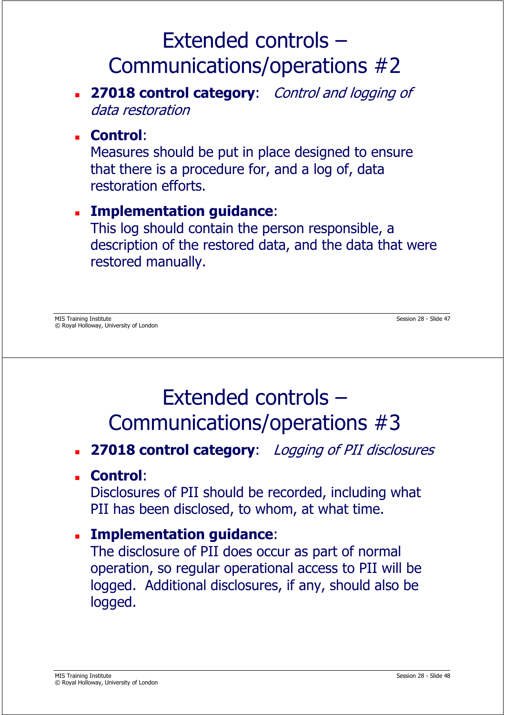#### **27018 control category**: Control and logging of data restoration

#### **Control**:

Measures should be put in place designed to ensure that there is a procedure for, and a log of, data restoration efforts.

#### **Implementation guidance**:

This log should contain the person responsible, a description of the restored data, and the data that were restored manually.

### Extended controls – Communications/operations #3

#### **27018 control category**: Logging of PII disclosures

**Control**:

Disclosures of PII should be recorded, including what PII has been disclosed, to whom, at what time.

**Implementation guidance**:

The disclosure of PII does occur as part of normal operation, so regular operational access to PII will be logged. Additional disclosures, if any, should also be logged.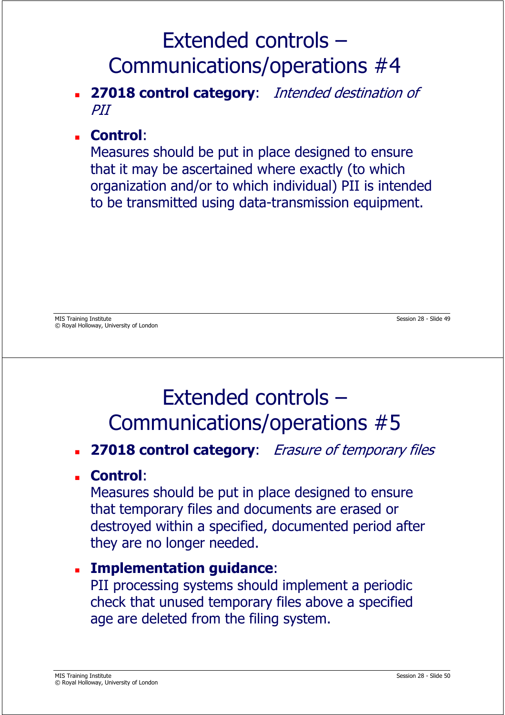#### **27018 control category**: Intended destination of PII

#### **Control**:

Measures should be put in place designed to ensure that it may be ascertained where exactly (to which organization and/or to which individual) PII is intended to be transmitted using data-transmission equipment.

### Extended controls – Communications/operations #5

#### **27018 control category**: Erasure of temporary files

#### **Control**:

Measures should be put in place designed to ensure that temporary files and documents are erased or destroyed within a specified, documented period after they are no longer needed.

#### **Implementation guidance**:

PII processing systems should implement a periodic check that unused temporary files above a specified age are deleted from the filing system.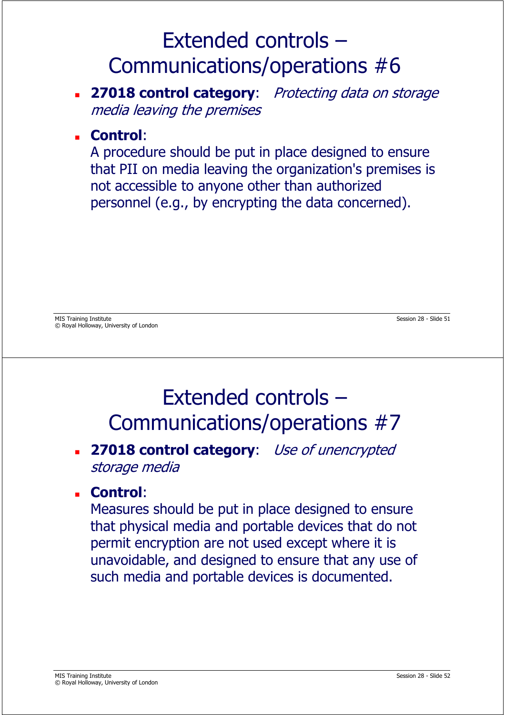- **27018 control category:** Protecting data on storage media leaving the premises
- **Control**:

A procedure should be put in place designed to ensure that PII on media leaving the organization's premises is not accessible to anyone other than authorized personnel (e.g., by encrypting the data concerned).

#### Extended controls – Communications/operations #7

#### **27018 control category**: Use of unencrypted storage media

#### **Control**:

Measures should be put in place designed to ensure that physical media and portable devices that do not permit encryption are not used except where it is unavoidable, and designed to ensure that any use of such media and portable devices is documented.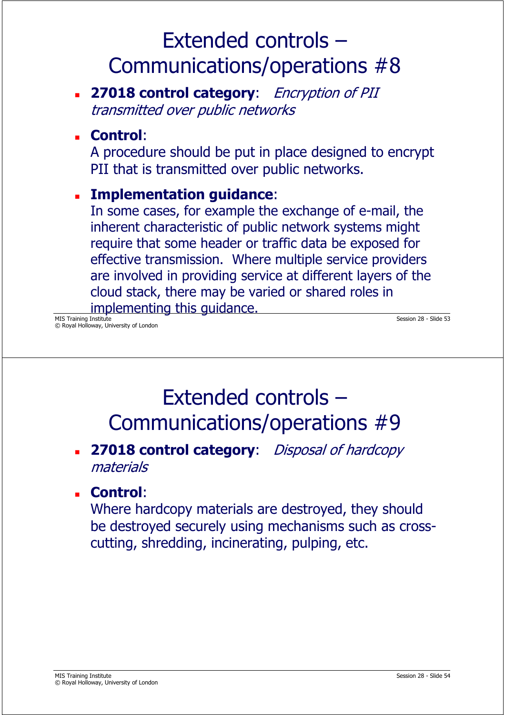**27018 control category**: Encryption of PII transmitted over public networks

#### **Control**:

A procedure should be put in place designed to encrypt PII that is transmitted over public networks.

#### **Implementation guidance**:

In some cases, for example the exchange of e-mail, the inherent characteristic of public network systems might require that some header or traffic data be exposed for effective transmission. Where multiple service providers are involved in providing service at different layers of the cloud stack, there may be varied or shared roles in implementing this guidance.

MIS Training Institute Session 28 - Slide 53 © Royal Holloway, University of London

### Extended controls – Communications/operations #9

#### **27018 control category**: Disposal of hardcopy materials

#### **Control**:

Where hardcopy materials are destroyed, they should be destroyed securely using mechanisms such as crosscutting, shredding, incinerating, pulping, etc.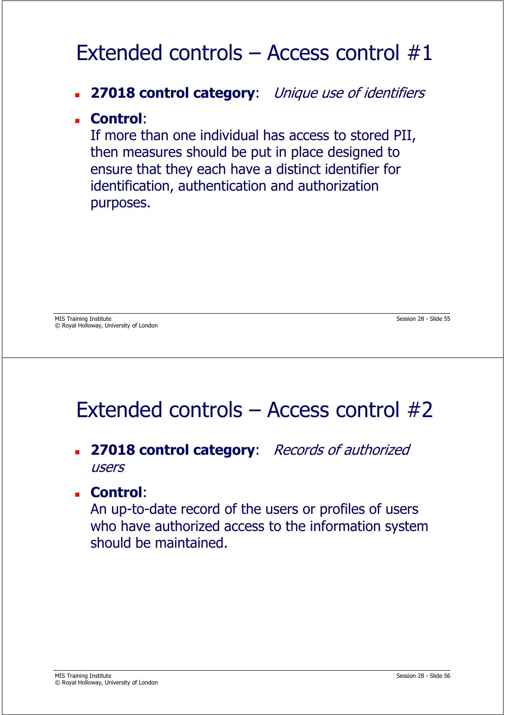### Extended controls – Access control #1

#### **27018 control category**: Unique use of identifiers

#### **Control**:

If more than one individual has access to stored PII, then measures should be put in place designed to ensure that they each have a distinct identifier for identification, authentication and authorization purposes.

### Extended controls – Access control #2

#### **27018 control category**: Records of authorized users

#### **Control**:

An up-to-date record of the users or profiles of users who have authorized access to the information system should be maintained.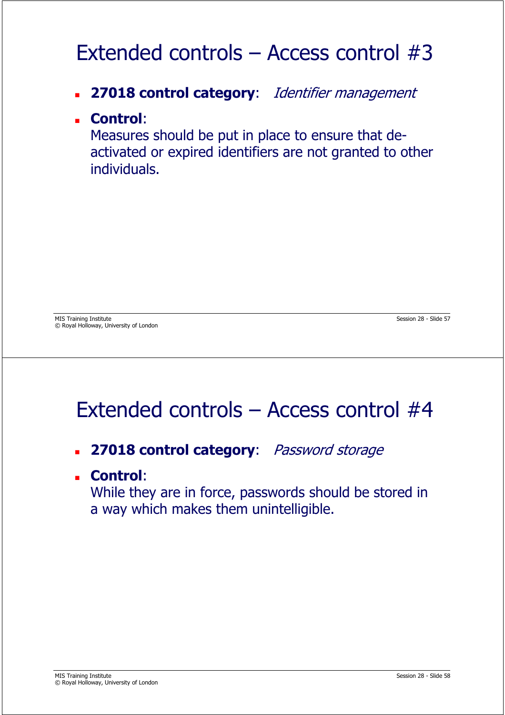### Extended controls – Access control #3

- **27018 control category**: Identifier management
- **Control**:

Measures should be put in place to ensure that deactivated or expired identifiers are not granted to other individuals.

### Extended controls – Access control #4

- **27018 control category**: Password storage
- **Control**:

While they are in force, passwords should be stored in a way which makes them unintelligible.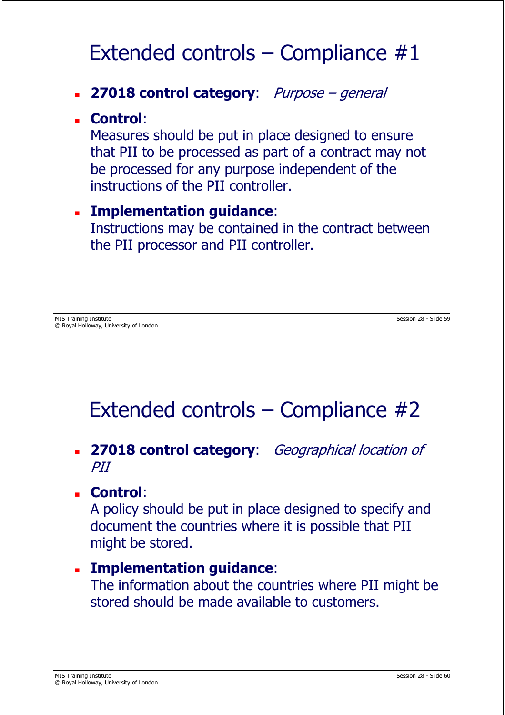### Extended controls – Compliance  $#1$

#### **27018 control category**: Purpose – general

#### **Control**:

Measures should be put in place designed to ensure that PII to be processed as part of a contract may not be processed for any purpose independent of the instructions of the PII controller.

#### **Implementation guidance**:

Instructions may be contained in the contract between the PII processor and PII controller.

### Extended controls – Compliance #2

 **27018 control category**: Geographical location of PII

#### **Control**:

A policy should be put in place designed to specify and document the countries where it is possible that PII might be stored.

#### **Implementation guidance**:

The information about the countries where PII might be stored should be made available to customers.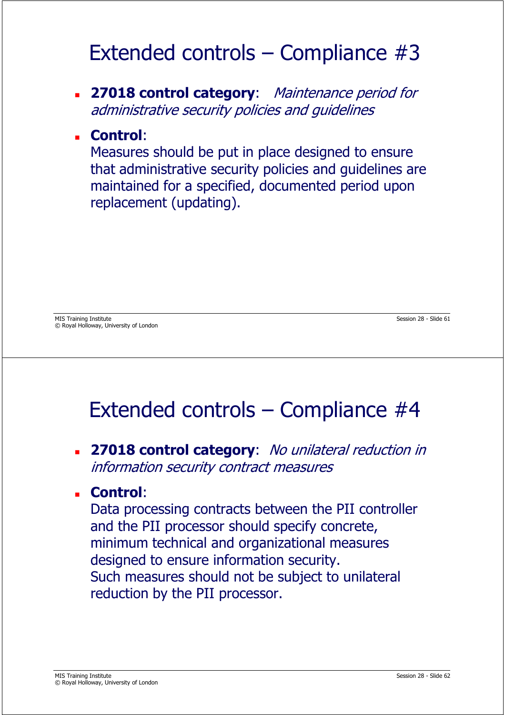### Extended controls – Compliance #3

 **27018 control category**: Maintenance period for administrative security policies and guidelines

#### **Control**:

Measures should be put in place designed to ensure that administrative security policies and guidelines are maintained for a specified, documented period upon replacement (updating).

### Extended controls – Compliance #4

 **27018 control category**: No unilateral reduction in information security contract measures

#### **Control**:

Data processing contracts between the PII controller and the PII processor should specify concrete, minimum technical and organizational measures designed to ensure information security. Such measures should not be subject to unilateral reduction by the PII processor.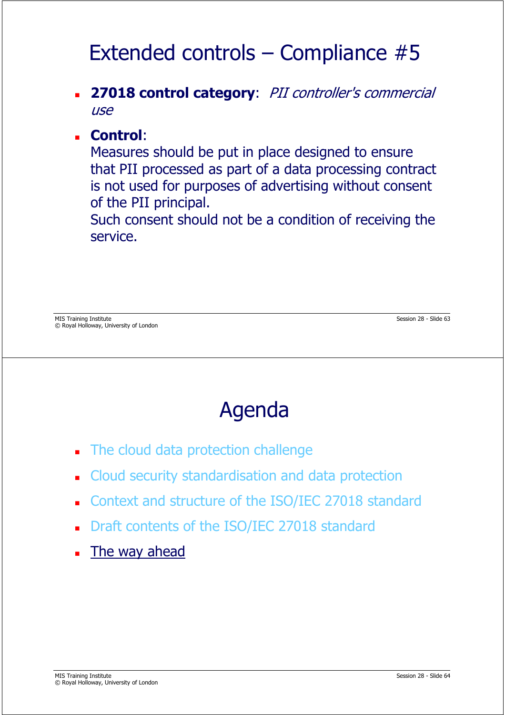## Extended controls – Compliance #5

 **27018 control category**: PII controller's commercial use

#### **Control**:

Measures should be put in place designed to ensure that PII processed as part of a data processing contract is not used for purposes of advertising without consent of the PII principal.

Such consent should not be a condition of receiving the service.

## Agenda

- The cloud data protection challenge
- Cloud security standardisation and data protection
- Context and structure of the ISO/IEC 27018 standard
- Draft contents of the ISO/IEC 27018 standard
- The way ahead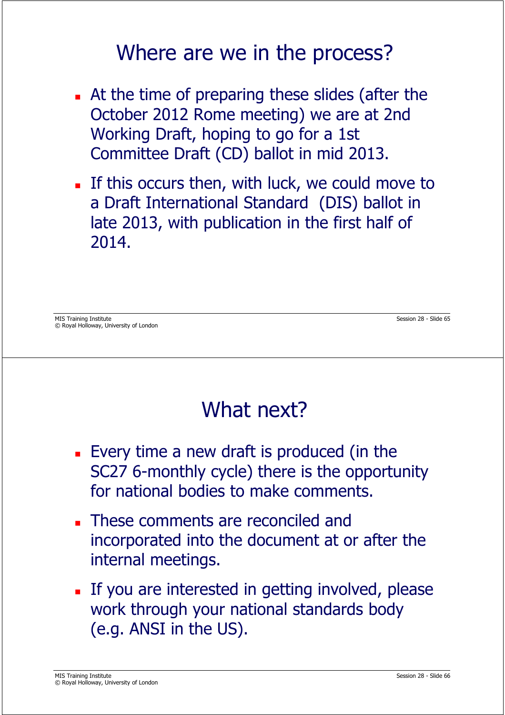#### Where are we in the process?

- At the time of preparing these slides (after the October 2012 Rome meeting) we are at 2nd Working Draft, hoping to go for a 1st Committee Draft (CD) ballot in mid 2013.
- If this occurs then, with luck, we could move to a Draft International Standard (DIS) ballot in late 2013, with publication in the first half of 2014.

MIS Training Institute Session 28 - Slide 65 © Royal Holloway, University of London

### What next?

- Every time a new draft is produced (in the SC27 6-monthly cycle) there is the opportunity for national bodies to make comments.
- **These comments are reconciled and** incorporated into the document at or after the internal meetings.
- If you are interested in getting involved, please work through your national standards body (e.g. ANSI in the US).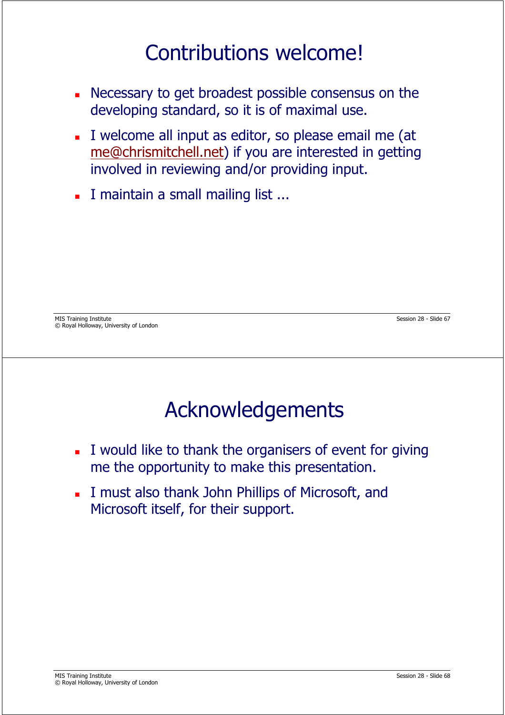### Contributions welcome!

- Necessary to get broadest possible consensus on the developing standard, so it is of maximal use.
- I welcome all input as editor, so please email me (at me@chrismitchell.net) if you are interested in getting involved in reviewing and/or providing input.
- I maintain a small mailing list ...

MIS Training Institute Session 28 - Slide 67 © Royal Holloway, University of London

## Acknowledgements

- I would like to thank the organisers of event for giving me the opportunity to make this presentation.
- I must also thank John Phillips of Microsoft, and Microsoft itself, for their support.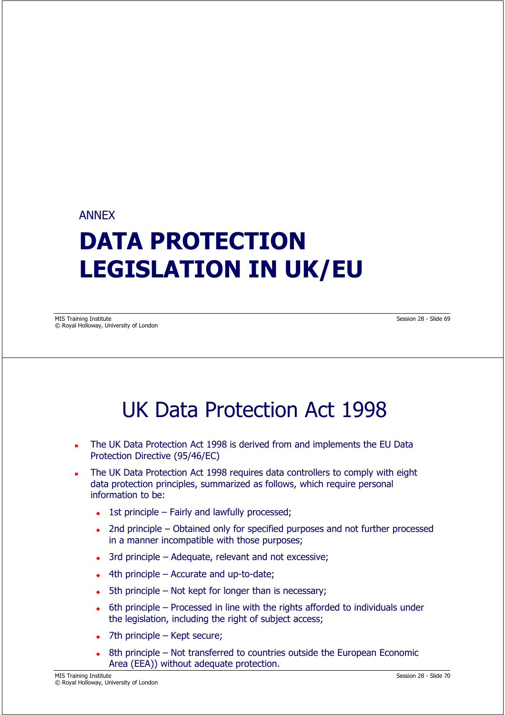#### ANNEX

# **DATA PROTECTION LEGISLATION IN UK/EU**

MIS Training Institute Session 28 - Slide 69 © Royal Holloway, University of London

#### UK Data Protection Act 1998

- The UK Data Protection Act 1998 is derived from and implements the EU Data Protection Directive (95/46/EC)
- The UK Data Protection Act 1998 requires data controllers to comply with eight data protection principles, summarized as follows, which require personal information to be:
	- 1st principle Fairly and lawfully processed;
	- 2nd principle Obtained only for specified purposes and not further processed in a manner incompatible with those purposes;
	- 3rd principle Adequate, relevant and not excessive;
	- 4th principle Accurate and up-to-date;
	- $\bullet$  5th principle Not kept for longer than is necessary;
	- $\bullet$  6th principle – Processed in line with the rights afforded to individuals under the legislation, including the right of subject access;
	- $\bullet$ 7th principle – Kept secure;
	- 8th principle Not transferred to countries outside the European Economic Area (EEA)) without adequate protection.